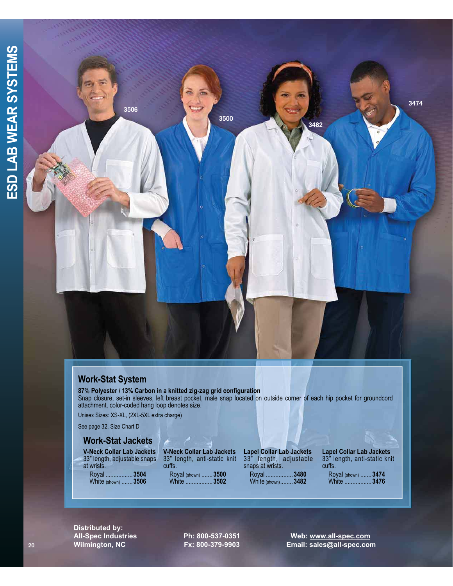

## **Work-Stat System**

**87% Polyester / 13% Carbon in a knitted zig-zag grid configuration** Snap closure, set-in sleeves, left breast pocket, male snap located on outside corner of each hip pocket for groundcord attachment, color-coded hang loop denotes size.

Unisex Sizes: XS-XL, (2XL-5XL extra charge)

See page 32, Size Chart D

## **Work-Stat Jackets**

**V-Neck Collar Lab Jackets** 33" length, adjustable snaps at wrists. Royal .................**3504** White (shown) .......**3506**

**V-Neck Collar Lab Jackets** 33" length, anti-static knit cuffs. Royal (shown) .......**3500** White .................**3502**

**Lapel Collar Lab Jackets** 33" length, adjustable snaps at wrists. Royal .................**3480** White (shown) ........**3482**

**Lapel Collar Lab Jackets** 33" length, anti-static knit cuffs. Royal (shown) .......**3474**

White .................**3476**

**Distributed by:** 

**All-Spec Industries Ph: 800-537-0351 Web: www.all-spec.com Wilmington, NC Fx: 800-379-9903 Email: sales@all-spec.com**